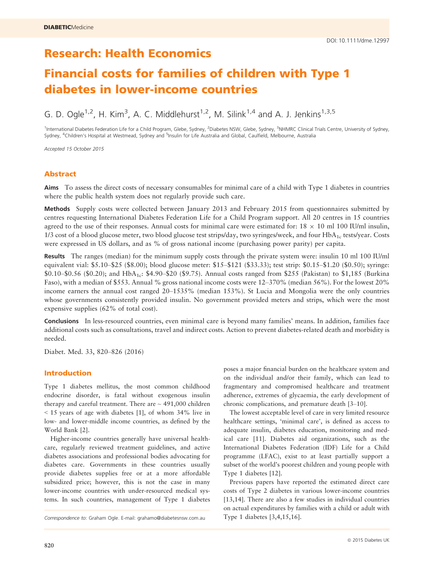## Research: Health Economics

# Financial costs for families of children with Type 1 diabetes in lower-income countries

G. D. Ogle<sup>1,2</sup>, H. Kim<sup>3</sup>, A. C. Middlehurst<sup>1,2</sup>, M. Silink<sup>1,4</sup> and A. J. Jenkins<sup>1,3,5</sup>

<sup>1</sup>International Diabetes Federation Life for a Child Program, Glebe, Sydney, <sup>2</sup>Diabetes NSW, Glebe, Sydney, <sup>3</sup>NHMRC Clinical Trials Centre, University of Sydney, Sydney, <sup>4</sup>Children's Hospital at Westmead, Sydney and <sup>5</sup>lnsulin for Life Australia and Global, Caulfield, Melbourne, Australia

Accepted 15 October 2015

## Abstract

Aims To assess the direct costs of necessary consumables for minimal care of a child with Type 1 diabetes in countries where the public health system does not regularly provide such care.

Methods Supply costs were collected between January 2013 and February 2015 from questionnaires submitted by centres requesting International Diabetes Federation Life for a Child Program support. All 20 centres in 15 countries agreed to the use of their responses. Annual costs for minimal care were estimated for:  $18 \times 10$  ml 100 IU/ml insulin, 1/3 cost of a blood glucose meter, two blood glucose test strips/day, two syringes/week, and four HbA<sub>1c</sub> tests/year. Costs were expressed in US dollars, and as % of gross national income (purchasing power parity) per capita.

Results The ranges (median) for the minimum supply costs through the private system were: insulin 10 ml 100 IU/ml equivalent vial: \$5.10–\$25 (\$8.00); blood glucose meter: \$15–\$121 (\$33.33); test strip: \$0.15–\$1.20 (\$0.50); syringe: \$0.10–\$0.56 (\$0.20); and  $HbA_{1c}$ : \$4.90–\$20 (\$9.75). Annual costs ranged from \$255 (Pakistan) to \$1,185 (Burkina Faso), with a median of \$553. Annual % gross national income costs were 12–370% (median 56%). For the lowest 20% income earners the annual cost ranged 20–1535% (median 153%). St Lucia and Mongolia were the only countries whose governments consistently provided insulin. No government provided meters and strips, which were the most expensive supplies (62% of total cost).

Conclusions In less-resourced countries, even minimal care is beyond many families' means. In addition, families face additional costs such as consultations, travel and indirect costs. Action to prevent diabetes-related death and morbidity is needed.

Diabet. Med. 33, 820–826 (2016)

## Introduction

Type 1 diabetes mellitus, the most common childhood endocrine disorder, is fatal without exogenous insulin therapy and careful treatment. There are  $\sim$  491,000 children < 15 years of age with diabetes [1], of whom 34% live in low- and lower-middle income countries, as defined by the World Bank [2].

Higher-income countries generally have universal healthcare, regularly reviewed treatment guidelines, and active diabetes associations and professional bodies advocating for diabetes care. Governments in these countries usually provide diabetes supplies free or at a more affordable subsidized price; however, this is not the case in many lower-income countries with under-resourced medical systems. In such countries, management of Type 1 diabetes

Correspondence to: Graham Ogle. E-mail: grahamo@diabetesnsw.com.au Type 1 diabetes [3,4,15,16].

poses a major financial burden on the healthcare system and on the individual and/or their family, which can lead to fragmentary and compromised healthcare and treatment adherence, extremes of glycaemia, the early development of chronic complications, and premature death [3–10].

The lowest acceptable level of care in very limited resource healthcare settings, 'minimal care', is defined as access to adequate insulin, diabetes education, monitoring and medical care [11]. Diabetes aid organizations, such as the International Diabetes Federation (IDF) Life for a Child programme (LFAC), exist to at least partially support a subset of the world's poorest children and young people with Type 1 diabetes [12].

Previous papers have reported the estimated direct care costs of Type 2 diabetes in various lower-income countries [13,14]. There are also a few studies in individual countries on actual expenditures by families with a child or adult with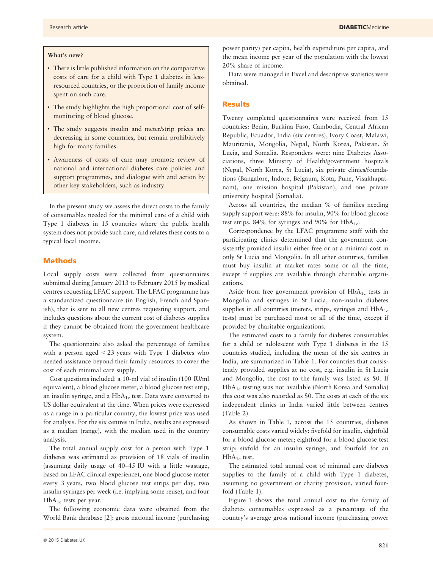### What's new?

- There is little published information on the comparative costs of care for a child with Type 1 diabetes in lessresourced countries, or the proportion of family income spent on such care.
- The study highlights the high proportional cost of selfmonitoring of blood glucose.
- The study suggests insulin and meter/strip prices are decreasing in some countries, but remain prohibitively high for many families.
- Awareness of costs of care may promote review of national and international diabetes care policies and support programmes, and dialogue with and action by other key stakeholders, such as industry.

In the present study we assess the direct costs to the family of consumables needed for the minimal care of a child with Type 1 diabetes in 15 countries where the public health system does not provide such care, and relates these costs to a typical local income.

## Methods

Local supply costs were collected from questionnaires submitted during January 2013 to February 2015 by medical centres requesting LFAC support. The LFAC programme has a standardized questionnaire (in English, French and Spanish), that is sent to all new centres requesting support, and includes questions about the current cost of diabetes supplies if they cannot be obtained from the government healthcare system.

The questionnaire also asked the percentage of families with a person aged  $\leq$  23 years with Type 1 diabetes who needed assistance beyond their family resources to cover the cost of each minimal care supply.

Cost questions included: a 10-ml vial of insulin (100 IU/ml equivalent), a blood glucose meter, a blood glucose test strip, an insulin syringe, and a  $HbA_{1c}$  test. Data were converted to US dollar equivalent at the time. When prices were expressed as a range in a particular country, the lowest price was used for analysis. For the six centres in India, results are expressed as a median (range), with the median used in the country analysis.

The total annual supply cost for a person with Type 1 diabetes was estimated as provision of 18 vials of insulin (assuming daily usage of 40–45 IU with a little wastage, based on LFAC clinical experience), one blood glucose meter every 3 years, two blood glucose test strips per day, two insulin syringes per week (i.e. implying some reuse), and four  $HbA_{1c}$  tests per year.

The following economic data were obtained from the World Bank database [2]: gross national income (purchasing power parity) per capita, health expenditure per capita, and the mean income per year of the population with the lowest 20% share of income.

Data were managed in Excel and descriptive statistics were obtained.

## **Results**

Twenty completed questionnaires were received from 15 countries: Benin, Burkina Faso, Cambodia, Central African Republic, Ecuador, India (six centres), Ivory Coast, Malawi, Mauritania, Mongolia, Nepal, North Korea, Pakistan, St Lucia, and Somalia. Responders were: nine Diabetes Associations, three Ministry of Health/government hospitals (Nepal, North Korea, St Lucia), six private clinics/foundations (Bangalore, Indore, Belgaum, Kota, Pune, Visakhapatnam), one mission hospital (Pakistan), and one private university hospital (Somalia).

Across all countries, the median % of families needing supply support were: 88% for insulin, 90% for blood glucose test strips,  $84\%$  for syringes and  $90\%$  for  $HbA_{1c}$ .

Correspondence by the LFAC programme staff with the participating clinics determined that the government consistently provided insulin either free or at a minimal cost in only St Lucia and Mongolia. In all other countries, families must buy insulin at market rates some or all the time, except if supplies are available through charitable organizations.

Aside from free government provision of  $HbA_{1c}$  tests in Mongolia and syringes in St Lucia, non-insulin diabetes supplies in all countries (meters, strips, syringes and  $HbA_{1c}$ tests) must be purchased most or all of the time, except if provided by charitable organizations.

The estimated costs to a family for diabetes consumables for a child or adolescent with Type 1 diabetes in the 15 countries studied, including the mean of the six centres in India, are summarized in Table 1. For countries that consistently provided supplies at no cost, e.g. insulin in St Lucia and Mongolia, the cost to the family was listed as \$0. If HbA1c testing was not available (North Korea and Somalia) this cost was also recorded as \$0. The costs at each of the six independent clinics in India varied little between centres (Table 2).

As shown in Table 1, across the 15 countries, diabetes consumable costs varied widely: fivefold for insulin, eightfold for a blood glucose meter; eightfold for a blood glucose test strip; sixfold for an insulin syringe; and fourfold for an  $HbA_{1c}$  test.

The estimated total annual cost of minimal care diabetes supplies to the family of a child with Type 1 diabetes, assuming no government or charity provision, varied fourfold (Table 1).

Figure 1 shows the total annual cost to the family of diabetes consumables expressed as a percentage of the country's average gross national income (purchasing power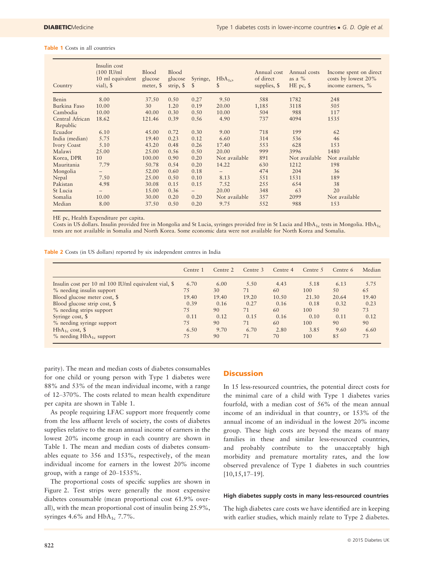#### Table 1 Costs in all countries

| Country                     | Insulin cost<br>$(100$ IU/ml<br>10 ml equivalent<br>vial), $$$ | <b>Blood</b><br>glucose<br>meter, \$ | <b>Blood</b><br>glucose<br>strip, \$ | Syringe,<br><sup>\$</sup> | $HbA_{1c}$<br>\$  | Annual cost<br>of direct<br>supplies, \$ | Annual costs<br>as a $%$<br>$HE$ pc, $$$ | Income spent on direct<br>costs by lowest 20%<br>income earners, % |  |
|-----------------------------|----------------------------------------------------------------|--------------------------------------|--------------------------------------|---------------------------|-------------------|------------------------------------------|------------------------------------------|--------------------------------------------------------------------|--|
| Benin                       | 8.00                                                           | 37.50                                | 0.50                                 | 0.27                      | 9.50              | 588                                      | 1782                                     | 248                                                                |  |
| Burkina Faso                | 10.00                                                          | 30                                   | 1.20                                 | 0.19                      | 20.00             | 1,185                                    | 3118                                     | 505                                                                |  |
| Cambodia                    | 10.00                                                          | 40.00                                | 0.30                                 | 0.50                      | 10.00             | 504                                      | 988                                      | 117                                                                |  |
| Central African<br>Republic | 18.62                                                          | 121.46                               | 0.39                                 | 0.56                      | 4.90              | 737                                      | 4094                                     | 1535                                                               |  |
| Ecuador                     | 6.10                                                           | 45.00                                | 0.72                                 | 0.30                      | 9.00              | 718                                      | 199                                      | 62                                                                 |  |
| India (median)              | 5.75                                                           | 19.40                                | 0.23                                 | 0.12                      | 6.60              | 314                                      | 536                                      | 46                                                                 |  |
| Ivory Coast                 | 5.10                                                           | 43.20                                | 0.48                                 | 0.26                      | 17.40             | 553                                      | 628                                      | 153                                                                |  |
| Malawi                      | 25.00                                                          | 25.00                                | 0.56                                 | 0.50                      | 20.00             | 999                                      | 3996                                     | 1480                                                               |  |
| Korea, DPR                  | 10                                                             | 100.00                               | 0.90                                 | 0.20                      | Not available     | 891                                      | Not available                            | Not available                                                      |  |
| Mauritania                  | 7.79                                                           | 50.78                                | 0.54                                 | 0.20                      | 14.22             | 630                                      | 1212                                     | 198                                                                |  |
| Mongolia                    | $\qquad \qquad -$                                              | 52.00                                | 0.60                                 | 0.18                      | $\qquad \qquad -$ | 474                                      | 204                                      | 36                                                                 |  |
| Nepal                       | 7.50                                                           | 25.00                                | 0.50                                 | 0.10                      | 8.13              | 551                                      | 1531                                     | 189                                                                |  |
| Pakistan                    | 4.98                                                           | 30.08                                | 0.15                                 | 0.15                      | 7.52              | 255                                      | 654                                      | 38                                                                 |  |
| St Lucia                    | $-$                                                            | 15.00                                | 0.36                                 | $-$                       | 20.00             | 348                                      | 63                                       | 20                                                                 |  |
| Somalia                     | 10.00                                                          | 30.00                                | 0.20                                 | 0.20                      | Not available     | 357                                      | 2099                                     | Not available                                                      |  |
| Median                      | 8.00                                                           | 37.50                                | 0.50                                 | 0.20                      | 9.75              | 552                                      | 988                                      | 153                                                                |  |

HE pc, Health Expenditure per capita.

Costs in US dollars. Insulin provided free in Mongolia and St Lucia, syringes provided free in St Lucia and HbA<sub>1c</sub> tests in Mongolia. HbA<sub>1c</sub> tests are not available in Somalia and North Korea. Some economic data were not available for North Korea and Somalia.

Table 2 Costs (in US dollars) reported by six independent centres in India

|                                                      | Centre 1 | Centre 2 | Centre 3 | Centre 4 | Centre 5 | Centre 6 | Median |
|------------------------------------------------------|----------|----------|----------|----------|----------|----------|--------|
| Insulin cost per 10 ml 100 IU/ml equivalent vial, \$ | 6.70     | 6.00     | 5.50     | 4.43     | 5.18     | 6.13     | 5.75   |
| % needing insulin support                            | 75       | 30       | 71       | 60       | 100      | 50       | 65     |
| Blood glucose meter cost, \$                         | 19.40    | 19.40    | 19.20    | 10.50    | 21.30    | 20.64    | 19.40  |
| Blood glucose strip cost, \$                         | 0.39     | 0.16     | 0.27     | 0.16     | 0.18     | 0.32     | 0.23   |
| % needing strips support                             | 75       | 90       | 71       | 60       | 100      | 50       | 73     |
| Syringe cost, \$                                     | 0.11     | 0.12     | 0.15     | 0.16     | 0.10     | 0.11     | 0.12   |
| % needing syringe support                            | 75       | 90       | 71       | 60       | 100      | 90       | 90     |
| $HbA_{1c} \text{ cost},$ \$                          | 6.50     | 9.70     | 6.70     | 2.80     | 3.85     | 9.60     | 6.60   |
| $%$ needing HbA <sub>1c</sub> support                | 75       | 90       | 71       | 70       | 100      | 85       | 73     |

parity). The mean and median costs of diabetes consumables for one child or young person with Type 1 diabetes were 88% and 53% of the mean individual income, with a range of 12–370%. The costs related to mean health expenditure per capita are shown in Table 1.

As people requiring LFAC support more frequently come from the less affluent levels of society, the costs of diabetes supplies relative to the mean annual income of earners in the lowest 20% income group in each country are shown in Table 1. The mean and median costs of diabetes consumables equate to 356 and 153%, respectively, of the mean individual income for earners in the lowest 20% income group, with a range of 20–1535%.

The proportional costs of specific supplies are shown in Figure 2. Test strips were generally the most expensive diabetes consumable (mean proportional cost 61.9% overall), with the mean proportional cost of insulin being 25.9%, syringes 4.6% and  $HbA_{1c}$  7.7%.

### **Discussion**

In 15 less-resourced countries, the potential direct costs for the minimal care of a child with Type 1 diabetes varies fourfold, with a median cost of 56% of the mean annual income of an individual in that country, or 153% of the annual income of an individual in the lowest 20% income group. These high costs are beyond the means of many families in these and similar less-resourced countries, and probably contribute to the unacceptably high morbidity and premature mortality rates, and the low observed prevalence of Type 1 diabetes in such countries [10,15,17–19].

## High diabetes supply costs in many less-resourced countries

The high diabetes care costs we have identified are in keeping with earlier studies, which mainly relate to Type 2 diabetes.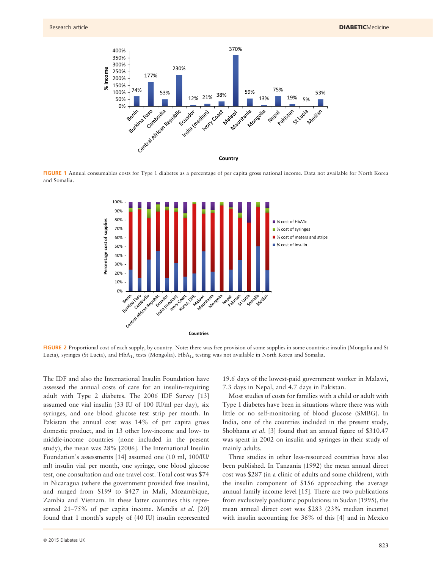

FIGURE 1 Annual consumables costs for Type 1 diabetes as a percentage of per capita gross national income. Data not available for North Korea and Somalia.



FIGURE 2 Proportional cost of each supply, by country. Note: there was free provision of some supplies in some countries: insulin (Mongolia and St Lucia), syringes (St Lucia), and HbA<sub>1c</sub> tests (Mongolia). HbA<sub>1c</sub> testing was not available in North Korea and Somalia.

The IDF and also the International Insulin Foundation have assessed the annual costs of care for an insulin-requiring adult with Type 2 diabetes. The 2006 IDF Survey [13] assumed one vial insulin (33 IU of 100 IU/ml per day), six syringes, and one blood glucose test strip per month. In Pakistan the annual cost was 14% of per capita gross domestic product, and in 13 other low-income and low- to middle-income countries (none included in the present study), the mean was 28% [2006]. The International Insulin Foundation's assessments [14] assumed one (10 ml, 100/IU/ ml) insulin vial per month, one syringe, one blood glucose test, one consultation and one travel cost. Total cost was \$74 in Nicaragua (where the government provided free insulin), and ranged from \$199 to \$427 in Mali, Mozambique, Zambia and Vietnam. In these latter countries this represented 21–75% of per capita income. Mendis et al. [20] found that 1 month's supply of (40 IU) insulin represented

19.6 days of the lowest-paid government worker in Malawi, 7.3 days in Nepal, and 4.7 days in Pakistan.

Most studies of costs for families with a child or adult with Type 1 diabetes have been in situations where there was with little or no self-monitoring of blood glucose (SMBG). In India, one of the countries included in the present study, Shobhana et al. [3] found that an annual figure of \$310.47 was spent in 2002 on insulin and syringes in their study of mainly adults.

Three studies in other less-resourced countries have also been published. In Tanzania (1992) the mean annual direct cost was \$287 (in a clinic of adults and some children), with the insulin component of \$156 approaching the average annual family income level [15]. There are two publications from exclusively paediatric populations: in Sudan (1995), the mean annual direct cost was \$283 (23% median income) with insulin accounting for 36% of this [4] and in Mexico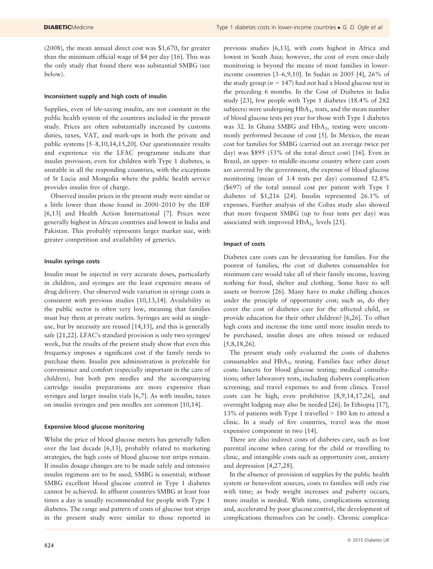(2008), the mean annual direct cost was \$1,670, far greater than the minimum official wage of \$4 per day [16]. This was the only study that found there was substantial SMBG (see below).

#### Inconsistent supply and high costs of insulin

Supplies, even of life-saving insulin, are not constant in the public health system of the countries included in the present study. Prices are often substantially increased by customs duties, taxes, VAT, and mark-ups in both the private and public systems [5–8,10,14,15,20]. Our questionnaire results and experience via the LFAC programme indicate that insulin provision, even for children with Type 1 diabetes, is unstable in all the responding countries, with the exceptions of St Lucia and Mongolia where the public health service provides insulin free of charge.

Observed insulin prices in the present study were similar or a little lower than those found in 2000–2010 by the IDF [6,13] and Health Action International [7]. Prices were generally highest in African countries and lowest in India and Pakistan. This probably represents larger market size, with greater competition and availability of generics.

#### Insulin syringe costs

Insulin must be injected in very accurate doses, particularly in children, and syringes are the least expensive means of drug delivery. Our observed wide variation in syringe costs is consistent with previous studies [10,13,14]. Availability in the public sector is often very low, meaning that families must buy them at private outlets. Syringes are sold as singleuse, but by necessity are reused [14,15], and this is generally safe [21,22]. LFAC's standard provision is only two syringes/ week, but the results of the present study show that even this frequency imposes a significant cost if the family needs to purchase them. Insulin pen administration is preferable for convenience and comfort (especially important in the care of children), but both pen needles and the accompanying cartridge insulin preparations are more expensive than syringes and larger insulin vials [6,7]. As with insulin, taxes on insulin syringes and pen needles are common [10,14].

#### Expensive blood glucose monitoring

Whilst the price of blood glucose meters has generally fallen over the last decade [6,13], probably related to marketing strategies, the high costs of blood glucose test strips remain. If insulin dosage changes are to be made safely and intensive insulin regimens are to be used, SMBG is essential; without SMBG excellent blood glucose control in Type 1 diabetes cannot be achieved. In affluent countries SMBG at least four times a day is usually recommended for people with Type 1 diabetes. The range and pattern of costs of glucose test strips in the present study were similar to those reported in previous studies [6,13], with costs highest in Africa and lowest in South Asia; however, the cost of even once-daily monitoring is beyond the means of most families in lowerincome countries [3–6,9,10]. In Sudan in 2005 [4], 26% of the study group ( $n = 147$ ) had not had a blood glucose test in the preceding 6 months. In the Cost of Diabetes in India study [23], few people with Type 1 diabetes (18.4% of 282 subjects) were undergoing  $HbA_{1c}$  tests, and the mean number of blood glucose tests per year for those with Type 1 diabetes was 32. In Ghana SMBG and  $HbA_{1c}$  testing were uncommonly performed because of cost [5]. In Mexico, the mean cost for families for SMBG (carried out an average twice per day) was \$895 (53% of the total direct cost) [16]. Even in Brazil, an upper- to middle-income country where care costs are covered by the government, the expense of blood glucose monitoring (mean of 3.4 tests per day) consumed 52.8% (\$697) of the total annual cost per patient with Type 1 diabetes of \$1,216 [24]. Insulin represented 26.1% of expenses. Further analysis of the Cobas study also showed that more frequent SMBG (up to four tests per day) was associated with improved  $HbA_{1c}$  levels [25].

#### Impact of costs

Diabetes care costs can be devastating for families. For the poorest of families, the cost of diabetes consumables for minimum care would take all of their family income, leaving nothing for food, shelter and clothing. Some have to sell assets or borrow [26]. Many have to make chilling choices under the principle of opportunity cost; such as, do they cover the cost of diabetes care for the affected child, or provide education for their other children? [6,26]. To offset high costs and increase the time until more insulin needs to be purchased, insulin doses are often missed or reduced [5,8,18,26].

The present study only evaluated the costs of diabetes consumables and  $HbA_{1c}$  testing. Families face other direct costs: lancets for blood glucose testing; medical consultations; other laboratory tests, including diabetes complication screening; and travel expenses to and from clinics. Travel costs can be high, even prohibitive [8,9,14,17,26], and overnight lodging may also be needed [26]. In Ethiopia [17], 13% of patients with Type 1 travelled > 180 km to attend a clinic. In a study of five countries, travel was the most expensive component in two [14].

There are also indirect costs of diabetes care, such as lost parental income when caring for the child or travelling to clinic, and intangible costs such as opportunity cost, anxiety and depression [4,27,28].

In the absence of provision of supplies by the public health system or benevolent sources, costs to families will only rise with time; as body weight increases and puberty occurs, more insulin is needed. With time, complications screening and, accelerated by poor glucose control, the development of complications themselves can be costly. Chronic complica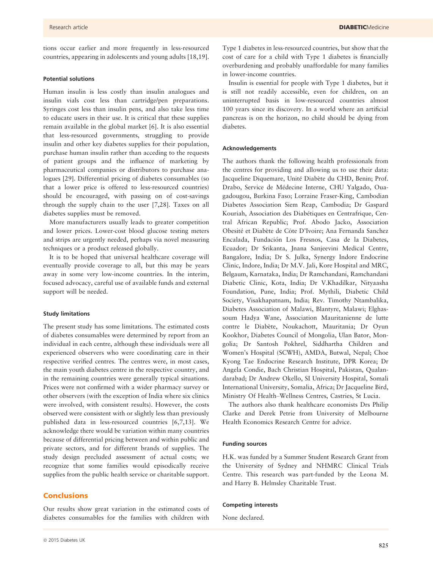tions occur earlier and more frequently in less-resourced countries, appearing in adolescents and young adults [18,19].

#### Potential solutions

Human insulin is less costly than insulin analogues and insulin vials cost less than cartridge/pen preparations. Syringes cost less than insulin pens, and also take less time to educate users in their use. It is critical that these supplies remain available in the global market [6]. It is also essential that less-resourced governments, struggling to provide insulin and other key diabetes supplies for their population, purchase human insulin rather than acceding to the requests of patient groups and the influence of marketing by pharmaceutical companies or distributors to purchase analogues [29]. Differential pricing of diabetes consumables (so that a lower price is offered to less-resourced countries) should be encouraged, with passing on of cost-savings through the supply chain to the user [7,28]. Taxes on all diabetes supplies must be removed.

More manufacturers usually leads to greater competition and lower prices. Lower-cost blood glucose testing meters and strips are urgently needed, perhaps via novel measuring techniques or a product released globally.

It is to be hoped that universal healthcare coverage will eventually provide coverage to all, but this may be years away in some very low-income countries. In the interim, focused advocacy, careful use of available funds and external support will be needed.

#### Study limitations

The present study has some limitations. The estimated costs of diabetes consumables were determined by report from an individual in each centre, although these individuals were all experienced observers who were coordinating care in their respective verified centres. The centres were, in most cases, the main youth diabetes centre in the respective country, and in the remaining countries were generally typical situations. Prices were not confirmed with a wider pharmacy survey or other observers (with the exception of India where six clinics were involved, with consistent results). However, the costs observed were consistent with or slightly less than previously published data in less-resourced countries [6,7,13]. We acknowledge there would be variation within many countries because of differential pricing between and within public and private sectors, and for different brands of supplies. The study design precluded assessment of actual costs; we recognize that some families would episodically receive supplies from the public health service or charitable support.

## **Conclusions**

Our results show great variation in the estimated costs of diabetes consumables for the families with children with

Type 1 diabetes in less-resourced countries, but show that the cost of care for a child with Type 1 diabetes is financially overburdening and probably unaffordable for many families in lower-income countries.

Insulin is essential for people with Type 1 diabetes, but it is still not readily accessible, even for children, on an uninterrupted basis in low-resourced countries almost 100 years since its discovery. In a world where an artificial pancreas is on the horizon, no child should be dying from diabetes.

#### Acknowledgements

The authors thank the following health professionals from the centres for providing and allowing us to use their data: Jacqueline Diquemare, Unité Diabète du CHD, Benin; Prof. Drabo, Service de Médecine Interne, CHU Yalgado, Ouagadougou, Burkina Faso; Lorraine Fraser-King, Cambodian Diabetes Association Siem Reap, Cambodia; Dr Gaspard Kouriah, Association des Diabétiques en Centrafrique, Central African Republic; Prof. Abodo Jacko, Association Obesité et Diabète de Côte D'Ivoire; Ana Fernanda Sanchez Encalada, Fundación Los Fresnos, Casa de la Diabetes, Ecuador; Dr Srikanta, Jnana Sanjeevini Medical Centre, Bangalore, India; Dr S. Julka, Synergy Indore Endocrine Clinic, Indore, India; Dr M.V. Jali, Kore Hospital and MRC, Belgaum, Karnataka, India; Dr Ramchandani, Ramchandani Diabetic Clinic, Kota, India; Dr V.Khadilkar, Nityaasha Foundation, Pune, India; Prof. Mythili, Diabetic Child Society, Visakhapatnam, India; Rev. Timothy Ntambalika, Diabetes Association of Malawi, Blantyre, Malawi; Elghassoum Hadya Wane, Association Mauritanienne de lutte contre le Diabète, Noukachott, Mauritania; Dr Oyun Kookhor, Diabetes Council of Mongolia, Ulan Bator, Mongolia; Dr Santosh Pokhrel, Siddhartha Children and Women's Hospital (SCWH), AMDA, Butwal, Nepal; Choe Kyong Tae Endocrine Research Institute, DPR Korea; Dr Angela Condie, Bach Christian Hospital, Pakistan, Qualandarabad; Dr Andrew Okello, SI University Hospital, Somali International University, Somalia, Africa; Dr Jacqueline Bird, Ministry Of Health–Wellness Centres, Castries, St Lucia.

The authors also thank healthcare economists Drs Philip Clarke and Derek Petrie from University of Melbourne Health Economics Research Centre for advice.

#### Funding sources

H.K. was funded by a Summer Student Research Grant from the University of Sydney and NHMRC Clinical Trials Centre. This research was part-funded by the Leona M. and Harry B. Helmsley Charitable Trust.

## Competing interests

None declared.